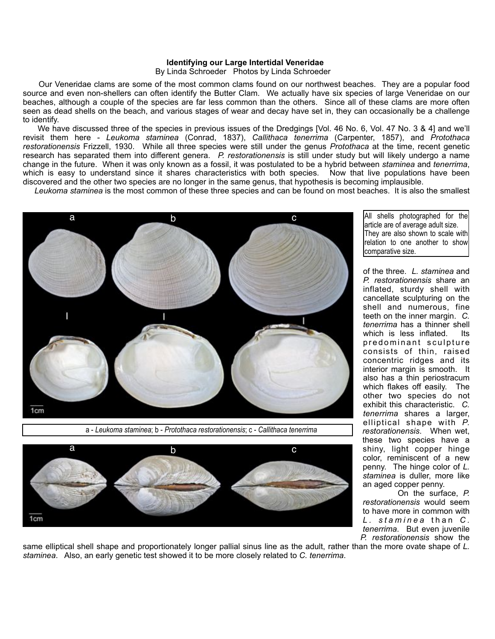## **Identifying our Large Intertidal Veneridae**

By Linda Schroeder Photos by Linda Schroeder

 Our Veneridae clams are some of the most common clams found on our northwest beaches. They are a popular food source and even non-shellers can often identify the Butter Clam. We actually have six species of large Veneridae on our beaches, although a couple of the species are far less common than the others. Since all of these clams are more often seen as dead shells on the beach, and various stages of wear and decay have set in, they can occasionally be a challenge to identify.

We have discussed three of the species in previous issues of the Dredgings [Vol. 46 No. 6, Vol. 47 No. 3 & 4] and we'll revisit them here - *Leukoma staminea* (Conrad, 1837), *Callithaca tenerrima* (Carpenter, 1857), and *Protothaca restorationensis* Frizzell, 1930. While all three species were still under the genus *Protothaca* at the time, recent genetic research has separated them into different genera. *P. restorationensis* is still under study but will likely undergo a name change in the future. When it was only known as a fossil, it was postulated to be a hybrid between *staminea* and *tenerrima*, which is easy to understand since it shares characteristics with both species. Now that live populations have been discovered and the other two species are no longer in the same genus, that hypothesis is becoming implausible.

*Leukoma staminea* is the most common of these three species and can be found on most beaches. It is also the smallest



a - *Leukoma staminea*; b - *Protothaca restorationensis*; c - *Callithaca tenerrima*



All shells photographed for the article are of average adult size. They are also shown to scale with relation to one another to show comparative size.

of the three. *L. staminea* and *P. restorationensis* share an inflated, sturdy shell with cancellate sculpturing on the shell and numerous, fine teeth on the inner margin. *C. tenerrima* has a thinner shell which is less inflated. Its predominant sculpture consists of thin, raised concentric ridges and its interior margin is smooth. It also has a thin periostracum which flakes off easily. The other two species do not exhibit this characteristic. *C. tenerrima* shares a larger, elliptical shape with *P. restorationensis*. When wet, these two species have a shiny, light copper hinge color, reminiscent of a new penny. The hinge color of *L. staminea* is duller, more like an aged copper penny.

 On the surface, *P. restorationensis* would seem to have more in common with *L . s t a m i n e a* than *C . tenerrima*. But even juvenile *P. restorationensis* show the

same elliptical shell shape and proportionately longer pallial sinus line as the adult, rather than the more ovate shape of *L. staminea*. Also, an early genetic test showed it to be more closely related to *C. tenerrima*.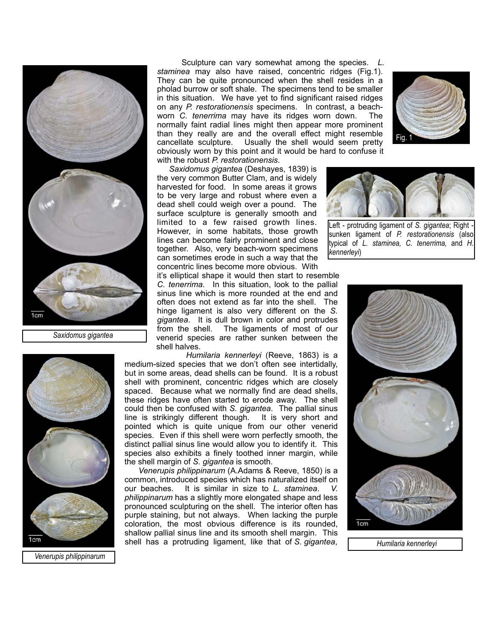

 *Saxidomus gigantea*

 Sculpture can vary somewhat among the species. *L. staminea* may also have raised, concentric ridges (Fig.1). They can be quite pronounced when the shell resides in a pholad burrow or soft shale. The specimens tend to be smaller in this situation. We have yet to find significant raised ridges on any *P. restorationensis* specimens. In contrast, a beachworn *C. tenerrima* may have its ridges worn down. The normally faint radial lines might then appear more prominent than they really are and the overall effect might resemble cancellate sculpture. Usually the shell would seem pretty obviously worn by this point and it would be hard to confuse it with the robust *P. restorationensis*.

 *Saxidomus gigantea* (Deshayes, 1839) is the very common Butter Clam, and is widely harvested for food. In some areas it grows to be very large and robust where even a dead shell could weigh over a pound. The surface sculpture is generally smooth and limited to a few raised growth lines. However, in some habitats, those growth lines can become fairly prominent and close together. Also, very beach-worn specimens can sometimes erode in such a way that the concentric lines become more obvious. With

it's elliptical shape it would then start to resemble *C. tenerrima*. In this situation, look to the pallial sinus line which is more rounded at the end and often does not extend as far into the shell. The hinge ligament is also very different on the *S. gigantea*. It is dull brown in color and protrudes from the shell. The ligaments of most of our venerid species are rather sunken between the shell halves.

 *Humilaria kennerleyi* (Reeve, 1863) is a medium-sized species that we don't often see intertidally, but in some areas, dead shells can be found. It is a robust shell with prominent, concentric ridges which are closely spaced. Because what we normally find are dead shells, these ridges have often started to erode away. The shell could then be confused with *S. gigantea*. The pallial sinus line is strikingly different though. It is very short and pointed which is quite unique from our other venerid species. Even if this shell were worn perfectly smooth, the distinct pallial sinus line would allow you to identify it. This species also exhibits a finely toothed inner margin, while the shell margin of *S. gigantea* is smooth.

 *Venerupis philippinarum* (A.Adams & Reeve, 1850) is a common, introduced species which has naturalized itself on our beaches. It is similar in size to *L. staminea*. *V. philippinarum* has a slightly more elongated shape and less pronounced sculpturing on the shell. The interior often has purple staining, but not always. When lacking the purple coloration, the most obvious difference is its rounded, shallow pallial sinus line and its smooth shell margin. This shell has a protruding ligament, like that of *S. gigantea*,





Left - protruding ligament of *S. gigantea*; Right sunken ligament of *P. restorationensis* (also typical of *L. staminea, C. tenerrima,* and *H. kennerleyi*)



 *Humilaria kennerleyi*



 *Venerupis philippinarum*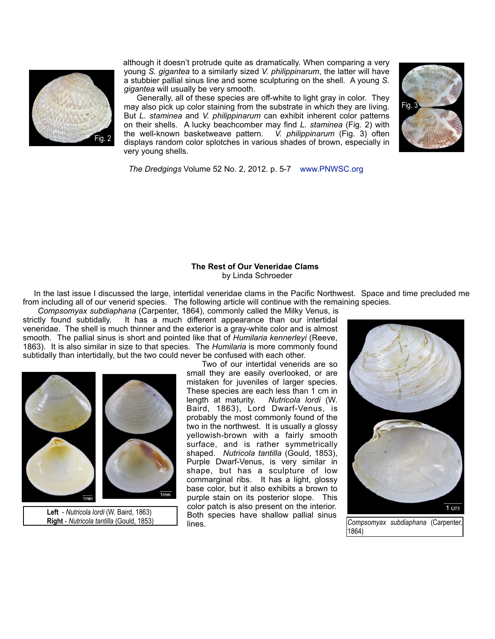

although it doesn't protrude quite as dramatically. When comparing a very young *S. gigantea* to a similarly sized *V. philippinarum*, the latter will have a stubbier pallial sinus line and some sculpturing on the shell. A young *S. gigantea* will usually be very smooth.

 Generally, all of these species are off-white to light gray in color. They may also pick up color staining from the substrate in which they are living. But *L. staminea* and *V. philippinarum* can exhibit inherent color patterns on their shells. A lucky beachcomber may find *L. staminea* (Fig. 2) with the well-known basketweave pattern. *V. philippinarum* (Fig. 3) often displays random color splotches in various shades of brown, especially in very young shells.



*The Dredgings* Volume 52 No. 2, 2012. p. 5-7 www.PNWSC.org

## **The Rest of Our Veneridae Clams** by Linda Schroeder

 In the last issue I discussed the large, intertidal veneridae clams in the Pacific Northwest. Space and time precluded me from including all of our venerid species. The following article will continue with the remaining species.

*Compsomyax subdiaphana* (Carpenter, 1864), commonly called the Milky Venus, is strictly found subtidally. It has a much different appearance than our intertidal It has a much different appearance than our intertidal veneridae. The shell is much thinner and the exterior is a gray-white color and is almost smooth. The pallial sinus is short and pointed like that of *Humilaria kennerleyi* (Reeve, 1863). It is also similar in size to that species. The *Humilaria* is more commonly found subtidally than intertidally, but the two could never be confused with each other.



 **Left** - *Nutricola lordi* (W. Baird, 1863)

 Two of our intertidal venerids are so small they are easily overlooked, or are mistaken for juveniles of larger species. These species are each less than 1 cm in length at maturity. *Nutricola lordi* (W. Baird, 1863), Lord Dwarf-Venus, is probably the most commonly found of the two in the northwest. It is usually a glossy yellowish-brown with a fairly smooth surface, and is rather symmetrically shaped. *Nutricola tantilla* (Gould, 1853), Purple Dwarf-Venus, is very similar in shape, but has a sculpture of low commarginal ribs. It has a light, glossy base color, but it also exhibits a brown to purple stain on its posterior slope. This color patch is also present on the interior. Both species have shallow pallial sinus lines.



*Compsomyax subdiaphana* (Carpenter, 1864)